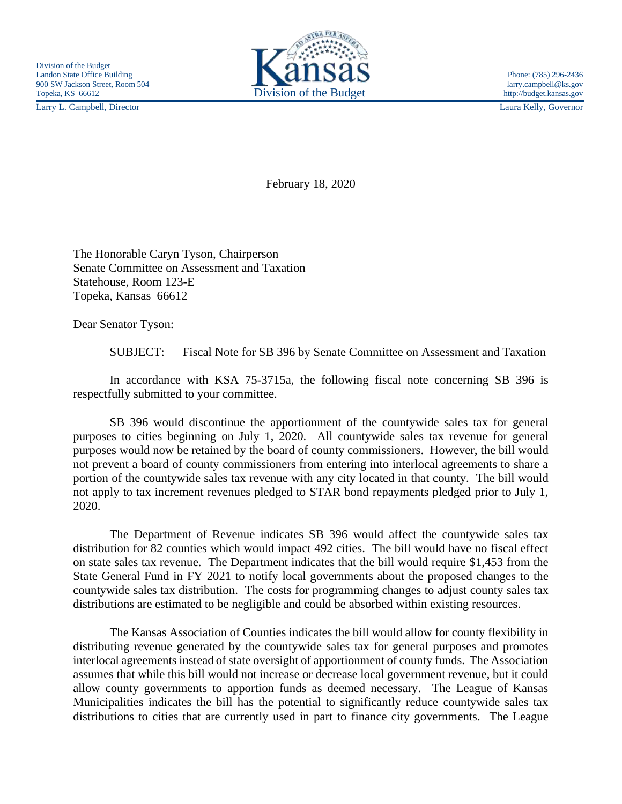Larry L. Campbell, Director Laura Kelly, Governor



February 18, 2020

The Honorable Caryn Tyson, Chairperson Senate Committee on Assessment and Taxation Statehouse, Room 123-E Topeka, Kansas 66612

Dear Senator Tyson:

SUBJECT: Fiscal Note for SB 396 by Senate Committee on Assessment and Taxation

In accordance with KSA 75-3715a, the following fiscal note concerning SB 396 is respectfully submitted to your committee.

SB 396 would discontinue the apportionment of the countywide sales tax for general purposes to cities beginning on July 1, 2020. All countywide sales tax revenue for general purposes would now be retained by the board of county commissioners. However, the bill would not prevent a board of county commissioners from entering into interlocal agreements to share a portion of the countywide sales tax revenue with any city located in that county. The bill would not apply to tax increment revenues pledged to STAR bond repayments pledged prior to July 1, 2020.

The Department of Revenue indicates SB 396 would affect the countywide sales tax distribution for 82 counties which would impact 492 cities. The bill would have no fiscal effect on state sales tax revenue. The Department indicates that the bill would require \$1,453 from the State General Fund in FY 2021 to notify local governments about the proposed changes to the countywide sales tax distribution. The costs for programming changes to adjust county sales tax distributions are estimated to be negligible and could be absorbed within existing resources.

The Kansas Association of Counties indicates the bill would allow for county flexibility in distributing revenue generated by the countywide sales tax for general purposes and promotes interlocal agreements instead of state oversight of apportionment of county funds. The Association assumes that while this bill would not increase or decrease local government revenue, but it could allow county governments to apportion funds as deemed necessary. The League of Kansas Municipalities indicates the bill has the potential to significantly reduce countywide sales tax distributions to cities that are currently used in part to finance city governments. The League